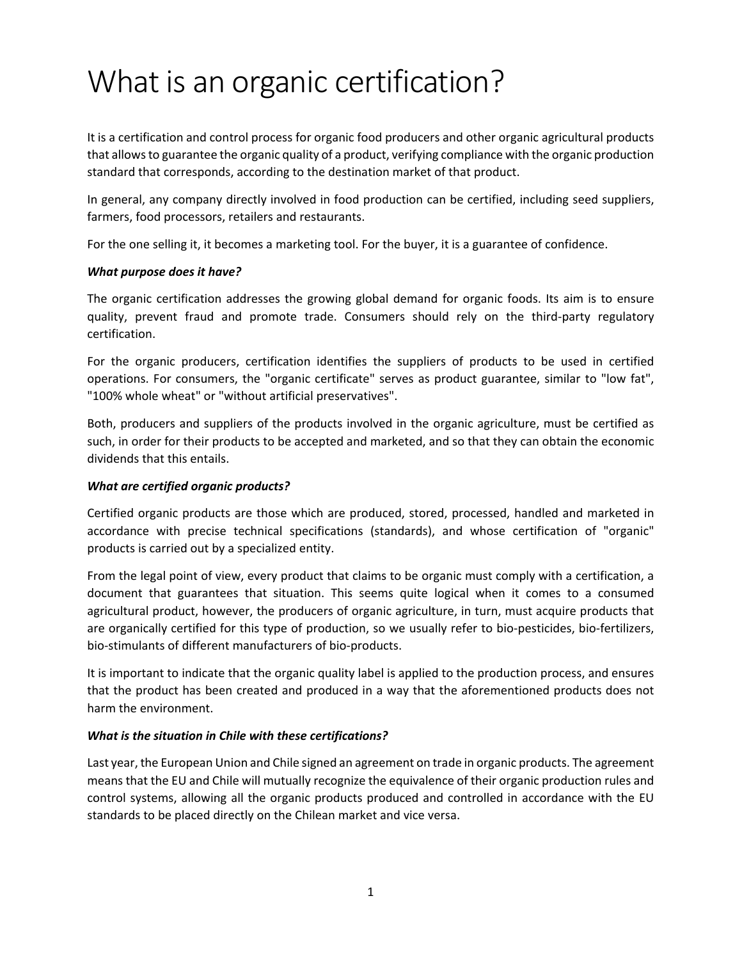# What is an organic certification?

It is a certification and control process for organic food producers and other organic agricultural products that allows to guarantee the organic quality of a product, verifying compliance with the organic production standard that corresponds, according to the destination market of that product.

In general, any company directly involved in food production can be certified, including seed suppliers, farmers, food processors, retailers and restaurants.

For the one selling it, it becomes a marketing tool. For the buyer, it is a guarantee of confidence.

#### *What purpose does it have?*

The organic certification addresses the growing global demand for organic foods. Its aim is to ensure quality, prevent fraud and promote trade. Consumers should rely on the third-party regulatory certification.

For the organic producers, certification identifies the suppliers of products to be used in certified operations. For consumers, the "organic certificate" serves as product guarantee, similar to "low fat", "100% whole wheat" or "without artificial preservatives".

Both, producers and suppliers of the products involved in the organic agriculture, must be certified as such, in order for their products to be accepted and marketed, and so that they can obtain the economic dividends that this entails.

#### *What are certified organic products?*

Certified organic products are those which are produced, stored, processed, handled and marketed in accordance with precise technical specifications (standards), and whose certification of "organic" products is carried out by a specialized entity.

From the legal point of view, every product that claims to be organic must comply with a certification, a document that guarantees that situation. This seems quite logical when it comes to a consumed agricultural product, however, the producers of organic agriculture, in turn, must acquire products that are organically certified for this type of production, so we usually refer to bio-pesticides, bio-fertilizers, bio-stimulants of different manufacturers of bio-products.

It is important to indicate that the organic quality label is applied to the production process, and ensures that the product has been created and produced in a way that the aforementioned products does not harm the environment.

#### *What is the situation in Chile with these certifications?*

Last year, the European Union and Chile signed an agreement on trade in organic products. The agreement means that the EU and Chile will mutually recognize the equivalence of their organic production rules and control systems, allowing all the organic products produced and controlled in accordance with the EU standards to be placed directly on the Chilean market and vice versa.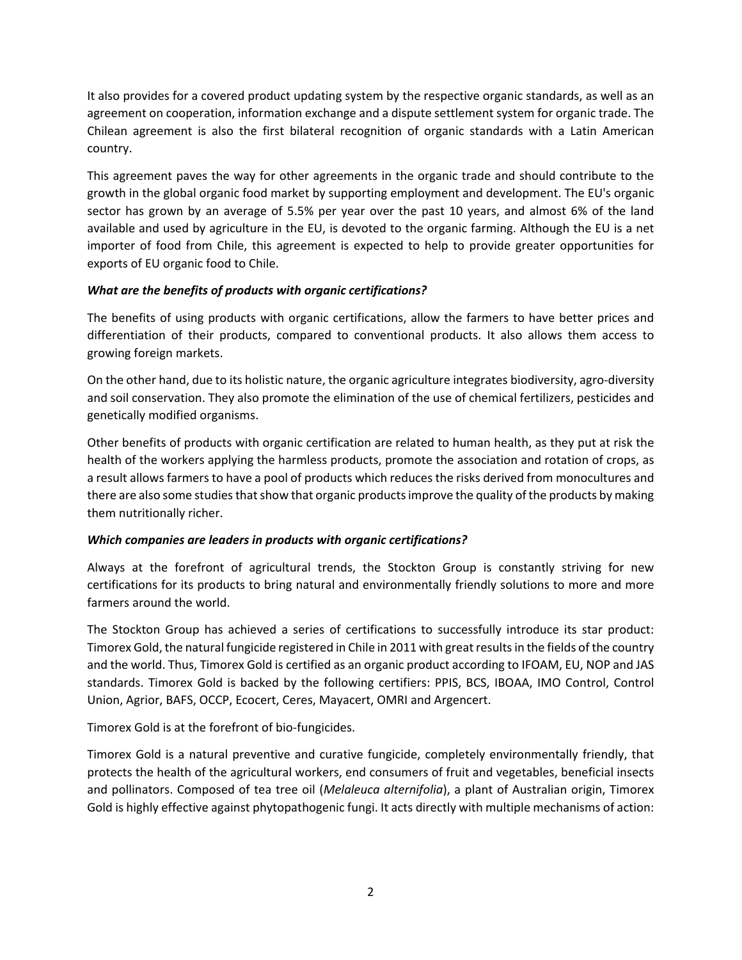It also provides for a covered product updating system by the respective organic standards, as well as an agreement on cooperation, information exchange and a dispute settlement system for organic trade. The Chilean agreement is also the first bilateral recognition of organic standards with a Latin American country.

This agreement paves the way for other agreements in the organic trade and should contribute to the growth in the global organic food market by supporting employment and development. The EU's organic sector has grown by an average of 5.5% per year over the past 10 years, and almost 6% of the land available and used by agriculture in the EU, is devoted to the organic farming. Although the EU is a net importer of food from Chile, this agreement is expected to help to provide greater opportunities for exports of EU organic food to Chile.

### *What are the benefits of products with organic certifications?*

The benefits of using products with organic certifications, allow the farmers to have better prices and differentiation of their products, compared to conventional products. It also allows them access to growing foreign markets.

On the other hand, due to its holistic nature, the organic agriculture integrates biodiversity, agro-diversity and soil conservation. They also promote the elimination of the use of chemical fertilizers, pesticides and genetically modified organisms.

Other benefits of products with organic certification are related to human health, as they put at risk the health of the workers applying the harmless products, promote the association and rotation of crops, as a result allows farmers to have a pool of products which reduces the risks derived from monocultures and there are also some studies that show that organic products improve the quality of the products by making them nutritionally richer.

## *Which companies are leaders in products with organic certifications?*

Always at the forefront of agricultural trends, the Stockton Group is constantly striving for new certifications for its products to bring natural and environmentally friendly solutions to more and more farmers around the world.

The Stockton Group has achieved a series of certifications to successfully introduce its star product: Timorex Gold, the natural fungicide registered in Chile in 2011 with great results in the fields of the country and the world. Thus, Timorex Gold is certified as an organic product according to IFOAM, EU, NOP and JAS standards. Timorex Gold is backed by the following certifiers: PPIS, BCS, IBOAA, IMO Control, Control Union, Agrior, BAFS, OCCP, Ecocert, Ceres, Mayacert, OMRI and Argencert.

Timorex Gold is at the forefront of bio-fungicides.

Timorex Gold is a natural preventive and curative fungicide, completely environmentally friendly, that protects the health of the agricultural workers, end consumers of fruit and vegetables, beneficial insects and pollinators. Composed of tea tree oil (*Melaleuca alternifolia*), a plant of Australian origin, Timorex Gold is highly effective against phytopathogenic fungi. It acts directly with multiple mechanisms of action: